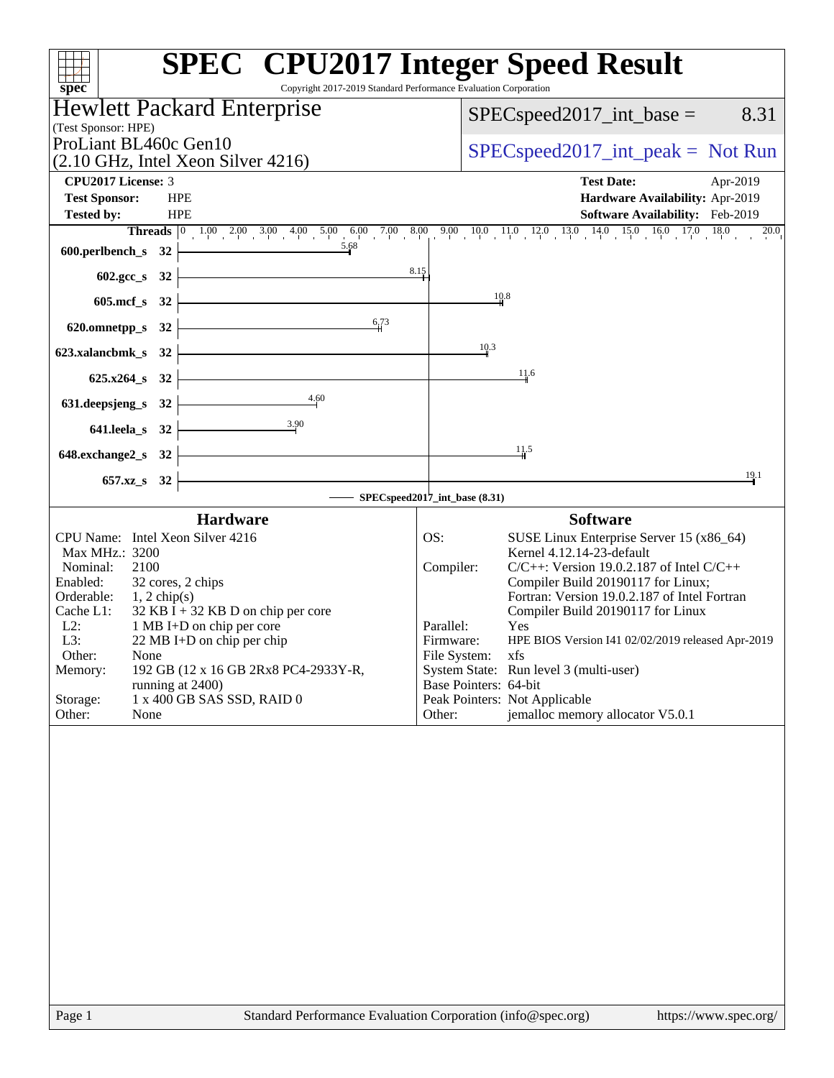| Copyright 2017-2019 Standard Performance Evaluation Corporation<br>spec <sup>®</sup>     | <b>SPEC<sup>®</sup></b> CPU2017 Integer Speed Result                                                                                                                           |
|------------------------------------------------------------------------------------------|--------------------------------------------------------------------------------------------------------------------------------------------------------------------------------|
| <b>Hewlett Packard Enterprise</b>                                                        | $SPEC speed2017\_int\_base =$<br>8.31                                                                                                                                          |
| (Test Sponsor: HPE)                                                                      |                                                                                                                                                                                |
| ProLiant BL460c Gen10                                                                    | $SPEC speed2017\_int\_peak = Not Run$                                                                                                                                          |
| (2.10 GHz, Intel Xeon Silver 4216)<br><b>CPU2017 License: 3</b>                          | <b>Test Date:</b><br>Apr-2019                                                                                                                                                  |
| <b>Test Sponsor:</b><br><b>HPE</b>                                                       | Hardware Availability: Apr-2019                                                                                                                                                |
| <b>Tested by:</b><br><b>HPE</b>                                                          | Software Availability: Feb-2019                                                                                                                                                |
| 600.perlbench_s 32 $\overbrace{\qquad \qquad }^{5.68}$                                   | <b>Threads</b> $\begin{bmatrix} 0 & 1.00 & 2.00 & 3.00 & 4.00 & 5.00 & 6.00 & 7.00 & 8.00 & 9.00 & 10.0 & 11.0 & 12.0 & 13.0 & 14.0 & 15.0 & 16.0 & 17.0 & 18.0 \end{bmatrix}$ |
|                                                                                          | 8.15                                                                                                                                                                           |
|                                                                                          |                                                                                                                                                                                |
| $605.\text{mcf}\,s$ 32                                                                   | 10.8                                                                                                                                                                           |
| 6,73<br>620.omnetpp_s $32$ $\overline{\phantom{a}}$                                      |                                                                                                                                                                                |
| 623.xalancbmk_s $32$ $\overline{\phantom{a}}$                                            | 10.3                                                                                                                                                                           |
| $625.x264_s$ 32                                                                          | 11.6                                                                                                                                                                           |
| 631. deepsjeng_s 32 $\overline{\qquad \qquad }$ 4.60                                     |                                                                                                                                                                                |
|                                                                                          |                                                                                                                                                                                |
| 641.leela_s 32 $\frac{3.90}{2}$                                                          |                                                                                                                                                                                |
| $648$ .exchange $2$ <sub>_</sub> s 32 $\overline{\qquad}$                                | 11.5                                                                                                                                                                           |
| $657.xz$ $32$                                                                            | 19.1                                                                                                                                                                           |
| SPECspeed2017_int_base (8.31)                                                            |                                                                                                                                                                                |
| <b>Hardware</b><br>CPU Name: Intel Xeon Silver 4216                                      | <b>Software</b><br>OS:<br>SUSE Linux Enterprise Server 15 (x86_64)                                                                                                             |
| Max MHz.: 3200                                                                           | Kernel 4.12.14-23-default                                                                                                                                                      |
| 2100<br>Nominal:<br>Enabled:<br>32 cores, 2 chips                                        | $C/C++$ : Version 19.0.2.187 of Intel $C/C++$<br>Compiler:<br>Compiler Build 20190117 for Linux;                                                                               |
| Orderable:<br>$1, 2$ chip(s)                                                             | Fortran: Version 19.0.2.187 of Intel Fortran                                                                                                                                   |
| $32$ KB I + 32 KB D on chip per core<br>Cache L1:<br>1 MB I+D on chip per core<br>$L2$ : | Compiler Build 20190117 for Linux<br>Parallel:<br>Yes                                                                                                                          |
| L3:<br>22 MB I+D on chip per chip                                                        | Firmware:<br>HPE BIOS Version I41 02/02/2019 released Apr-2019                                                                                                                 |
| Other:<br>None<br>Memory:<br>192 GB (12 x 16 GB 2Rx8 PC4-2933Y-R,                        | File System:<br>xfs<br>System State: Run level 3 (multi-user)                                                                                                                  |
| running at 2400)                                                                         | Base Pointers: 64-bit                                                                                                                                                          |
| 1 x 400 GB SAS SSD, RAID 0<br>Storage:<br>Other:<br>None                                 | Peak Pointers: Not Applicable<br>jemalloc memory allocator V5.0.1<br>Other:                                                                                                    |
|                                                                                          |                                                                                                                                                                                |
|                                                                                          |                                                                                                                                                                                |
| Page 1                                                                                   | Standard Performance Evaluation Corporation (info@spec.org)<br>https://www.spec.org/                                                                                           |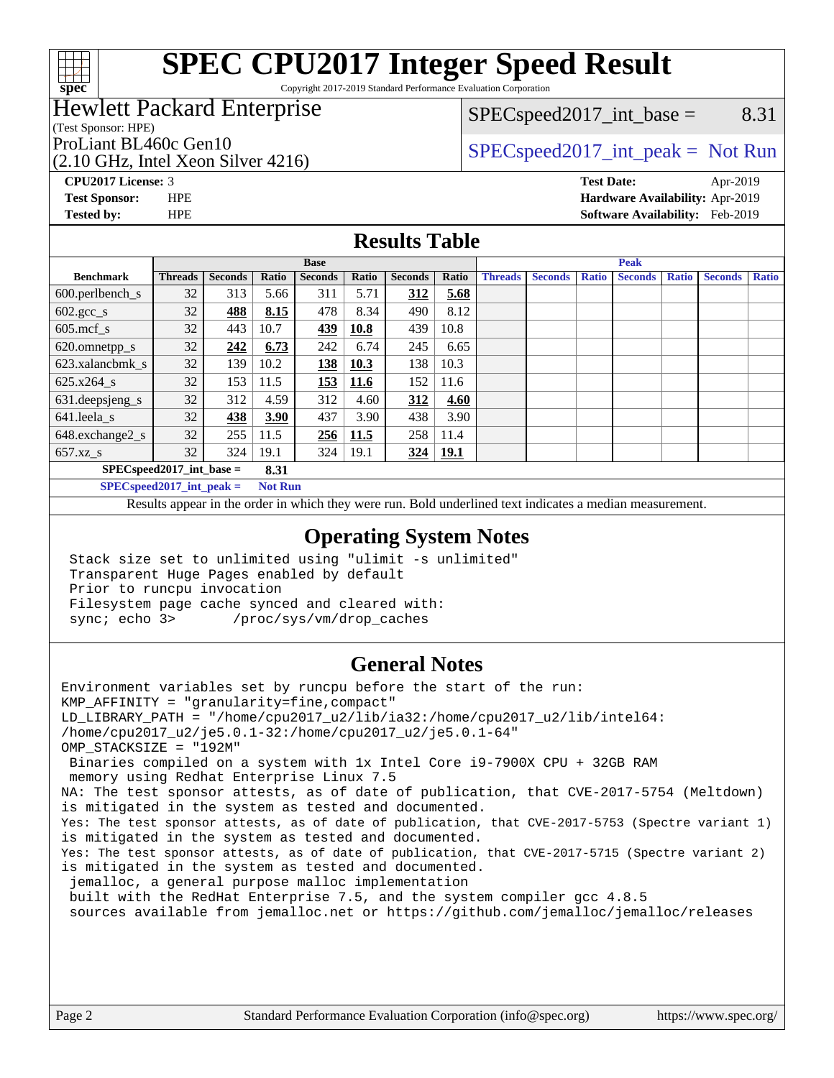

Copyright 2017-2019 Standard Performance Evaluation Corporation

## Hewlett Packard Enterprise

 $SPEC speed2017\_int\_base =$  8.31

(Test Sponsor: HPE)

(2.10 GHz, Intel Xeon Silver 4216)

ProLiant BL460c Gen10  $SPEC speed2017\_int\_peak = Not Run$ 

**[Tested by:](http://www.spec.org/auto/cpu2017/Docs/result-fields.html#Testedby)** HPE **[Software Availability:](http://www.spec.org/auto/cpu2017/Docs/result-fields.html#SoftwareAvailability)** Feb-2019

**[CPU2017 License:](http://www.spec.org/auto/cpu2017/Docs/result-fields.html#CPU2017License)** 3 **[Test Date:](http://www.spec.org/auto/cpu2017/Docs/result-fields.html#TestDate)** Apr-2019 **[Test Sponsor:](http://www.spec.org/auto/cpu2017/Docs/result-fields.html#TestSponsor)** HPE **[Hardware Availability:](http://www.spec.org/auto/cpu2017/Docs/result-fields.html#HardwareAvailability)** Apr-2019

#### **[Results Table](http://www.spec.org/auto/cpu2017/Docs/result-fields.html#ResultsTable)**

|                             | <b>Base</b>    |                |       |                | <b>Peak</b> |                |       |                |                |              |                |              |                |              |
|-----------------------------|----------------|----------------|-------|----------------|-------------|----------------|-------|----------------|----------------|--------------|----------------|--------------|----------------|--------------|
| <b>Benchmark</b>            | <b>Threads</b> | <b>Seconds</b> | Ratio | <b>Seconds</b> | Ratio       | <b>Seconds</b> | Ratio | <b>Threads</b> | <b>Seconds</b> | <b>Ratio</b> | <b>Seconds</b> | <b>Ratio</b> | <b>Seconds</b> | <b>Ratio</b> |
| $600.$ perlbench_s          | 32             | 313            | 5.66  | 311            | 5.71        | 312            | 5.68  |                |                |              |                |              |                |              |
| $602.\text{gcc}\_\text{s}$  | 32             | 488            | 8.15  | 478            | 8.34        | 490            | 8.12  |                |                |              |                |              |                |              |
| $605$ .mcf s                | 32             | 443            | 10.7  | 439            | 10.8        | 439            | 10.8  |                |                |              |                |              |                |              |
| 620.omnetpp_s               | 32             | 242            | 6.73  | 242            | 6.74        | 245            | 6.65  |                |                |              |                |              |                |              |
| 623.xalancbmk s             | 32             | 139            | 10.2  | 138            | 10.3        | 138            | 10.3  |                |                |              |                |              |                |              |
| 625.x264 s                  | 32             | 153            | 11.5  | <u>153</u>     | <b>11.6</b> | 152            | 11.6  |                |                |              |                |              |                |              |
| $631.$ deepsjeng $s$        | 32             | 312            | 4.59  | 312            | 4.60        | 312            | 4.60  |                |                |              |                |              |                |              |
| 641.leela s                 | 32             | 438            | 3.90  | 437            | 3.90        | 438            | 3.90  |                |                |              |                |              |                |              |
| 648.exchange2_s             | 32             | 255            | 11.5  | 256            | 11.5        | 258            | 11.4  |                |                |              |                |              |                |              |
| $657.xz$ s                  | 32             | 324            | 19.1  | 324            | 19.1        | 324            | 19.1  |                |                |              |                |              |                |              |
| $SPEC speed2017$ int base = |                |                | 8.31  |                |             |                |       |                |                |              |                |              |                |              |

**[SPECspeed2017\\_int\\_peak =](http://www.spec.org/auto/cpu2017/Docs/result-fields.html#SPECspeed2017intpeak) Not Run**

Results appear in the [order in which they were run.](http://www.spec.org/auto/cpu2017/Docs/result-fields.html#RunOrder) Bold underlined text [indicates a median measurement.](http://www.spec.org/auto/cpu2017/Docs/result-fields.html#Median)

#### **[Operating System Notes](http://www.spec.org/auto/cpu2017/Docs/result-fields.html#OperatingSystemNotes)**

 Stack size set to unlimited using "ulimit -s unlimited" Transparent Huge Pages enabled by default Prior to runcpu invocation Filesystem page cache synced and cleared with: sync; echo 3> /proc/sys/vm/drop\_caches

### **[General Notes](http://www.spec.org/auto/cpu2017/Docs/result-fields.html#GeneralNotes)**

Environment variables set by runcpu before the start of the run: KMP\_AFFINITY = "granularity=fine,compact" LD\_LIBRARY\_PATH = "/home/cpu2017\_u2/lib/ia32:/home/cpu2017\_u2/lib/intel64: /home/cpu2017\_u2/je5.0.1-32:/home/cpu2017\_u2/je5.0.1-64" OMP\_STACKSIZE = "192M" Binaries compiled on a system with 1x Intel Core i9-7900X CPU + 32GB RAM memory using Redhat Enterprise Linux 7.5 NA: The test sponsor attests, as of date of publication, that CVE-2017-5754 (Meltdown) is mitigated in the system as tested and documented. Yes: The test sponsor attests, as of date of publication, that CVE-2017-5753 (Spectre variant 1) is mitigated in the system as tested and documented. Yes: The test sponsor attests, as of date of publication, that CVE-2017-5715 (Spectre variant 2) is mitigated in the system as tested and documented. jemalloc, a general purpose malloc implementation built with the RedHat Enterprise 7.5, and the system compiler gcc 4.8.5 sources available from jemalloc.net or<https://github.com/jemalloc/jemalloc/releases>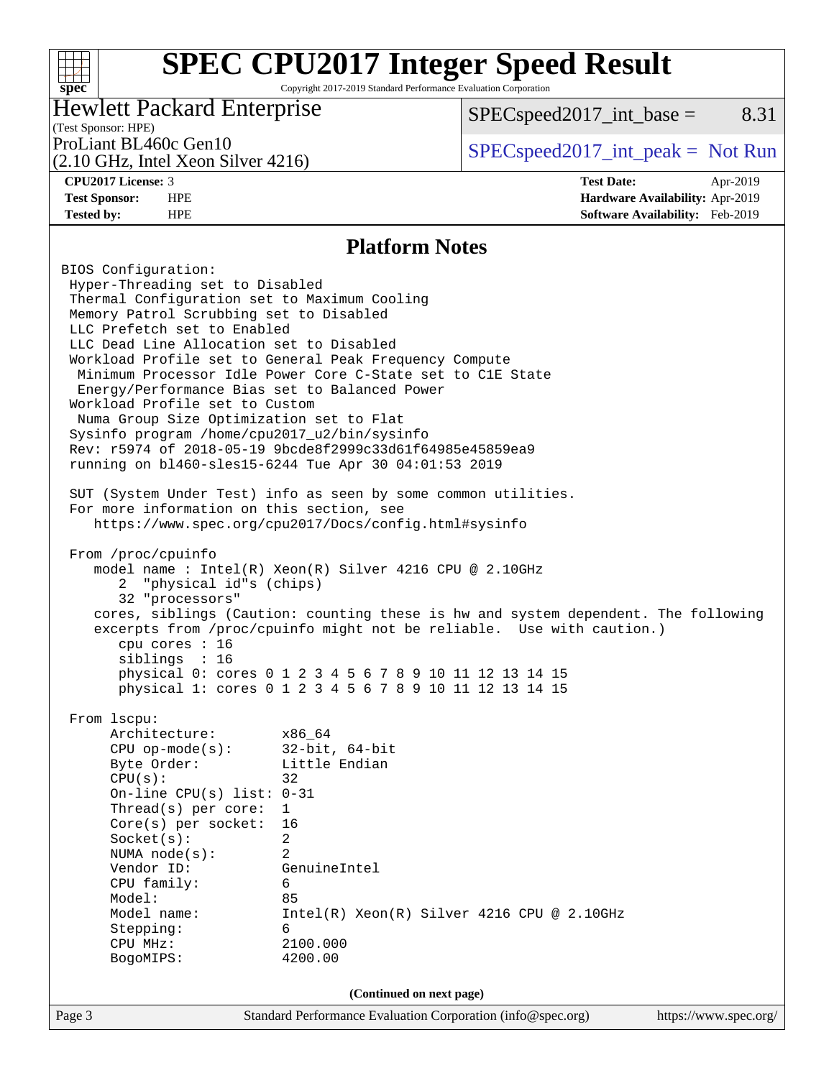Copyright 2017-2019 Standard Performance Evaluation Corporation

### Hewlett Packard Enterprise

 $SPEC speed2017\_int\_base =$  8.31

## (Test Sponsor: HPE)

(2.10 GHz, Intel Xeon Silver 4216)

ProLiant BL460c Gen10  $SPEC speed2017\_int\_peak = Not Run$ 

**[spec](http://www.spec.org/)**

 $+\!\!+\!\!$ 

**[CPU2017 License:](http://www.spec.org/auto/cpu2017/Docs/result-fields.html#CPU2017License)** 3 **[Test Date:](http://www.spec.org/auto/cpu2017/Docs/result-fields.html#TestDate)** Apr-2019 **[Test Sponsor:](http://www.spec.org/auto/cpu2017/Docs/result-fields.html#TestSponsor)** HPE **[Hardware Availability:](http://www.spec.org/auto/cpu2017/Docs/result-fields.html#HardwareAvailability)** Apr-2019 **[Tested by:](http://www.spec.org/auto/cpu2017/Docs/result-fields.html#Testedby)** HPE **[Software Availability:](http://www.spec.org/auto/cpu2017/Docs/result-fields.html#SoftwareAvailability)** Feb-2019

#### **[Platform Notes](http://www.spec.org/auto/cpu2017/Docs/result-fields.html#PlatformNotes)**

Page 3 Standard Performance Evaluation Corporation [\(info@spec.org\)](mailto:info@spec.org) <https://www.spec.org/> BIOS Configuration: Hyper-Threading set to Disabled Thermal Configuration set to Maximum Cooling Memory Patrol Scrubbing set to Disabled LLC Prefetch set to Enabled LLC Dead Line Allocation set to Disabled Workload Profile set to General Peak Frequency Compute Minimum Processor Idle Power Core C-State set to C1E State Energy/Performance Bias set to Balanced Power Workload Profile set to Custom Numa Group Size Optimization set to Flat Sysinfo program /home/cpu2017\_u2/bin/sysinfo Rev: r5974 of 2018-05-19 9bcde8f2999c33d61f64985e45859ea9 running on bl460-sles15-6244 Tue Apr 30 04:01:53 2019 SUT (System Under Test) info as seen by some common utilities. For more information on this section, see <https://www.spec.org/cpu2017/Docs/config.html#sysinfo> From /proc/cpuinfo model name : Intel(R) Xeon(R) Silver 4216 CPU @ 2.10GHz 2 "physical id"s (chips) 32 "processors" cores, siblings (Caution: counting these is hw and system dependent. The following excerpts from /proc/cpuinfo might not be reliable. Use with caution.) cpu cores : 16 siblings : 16 physical 0: cores 0 1 2 3 4 5 6 7 8 9 10 11 12 13 14 15 physical 1: cores 0 1 2 3 4 5 6 7 8 9 10 11 12 13 14 15 From lscpu: Architecture: x86\_64 CPU op-mode(s): 32-bit, 64-bit Byte Order: Little Endian  $CPU(s):$  32 On-line CPU(s) list: 0-31 Thread(s) per core: 1 Core(s) per socket: 16 Socket(s): 2 NUMA node(s): 2 Vendor ID: GenuineIntel CPU family: 6 Model: 85 Model name: Intel(R) Xeon(R) Silver 4216 CPU @ 2.10GHz Stepping: 6 CPU MHz: 2100.000 BogoMIPS: 4200.00 **(Continued on next page)**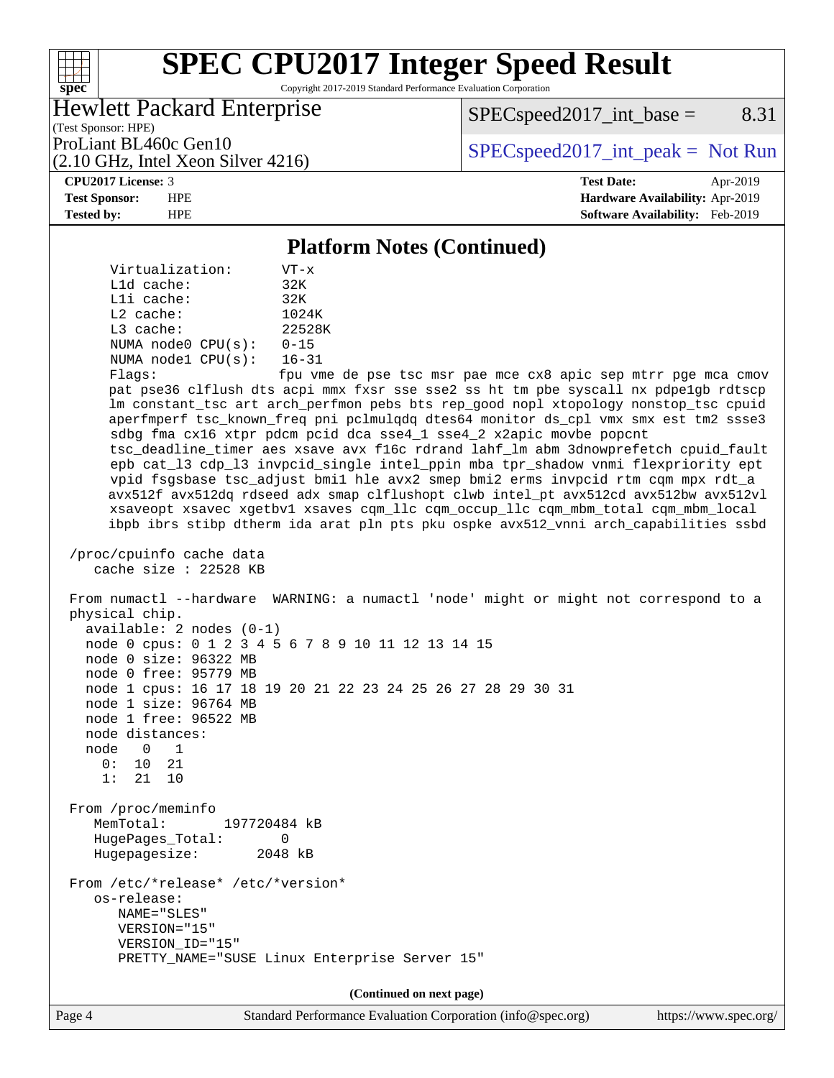Copyright 2017-2019 Standard Performance Evaluation Corporation

## Hewlett Packard Enterprise

 $SPEC speed2017\_int\_base =$  8.31

(Test Sponsor: HPE) (2.10 GHz, Intel Xeon Silver 4216)

ProLiant BL460c Gen10  $SPEC speed2017\_int\_peak = Not Run$ 

**[spec](http://www.spec.org/)**

 $+\!\!+\!\!$ 

**[CPU2017 License:](http://www.spec.org/auto/cpu2017/Docs/result-fields.html#CPU2017License)** 3 **[Test Date:](http://www.spec.org/auto/cpu2017/Docs/result-fields.html#TestDate)** Apr-2019 **[Test Sponsor:](http://www.spec.org/auto/cpu2017/Docs/result-fields.html#TestSponsor)** HPE **[Hardware Availability:](http://www.spec.org/auto/cpu2017/Docs/result-fields.html#HardwareAvailability)** Apr-2019 **[Tested by:](http://www.spec.org/auto/cpu2017/Docs/result-fields.html#Testedby)** HPE **[Software Availability:](http://www.spec.org/auto/cpu2017/Docs/result-fields.html#SoftwareAvailability)** Feb-2019

#### **[Platform Notes \(Continued\)](http://www.spec.org/auto/cpu2017/Docs/result-fields.html#PlatformNotes)**

 Virtualization: VT-x L1d cache: 32K L1i cache: 32K L2 cache: 1024K L3 cache: 22528K NUMA node0 CPU(s): 0-15 NUMA node1 CPU(s): 16-31

Flags: fpu vme de pse tsc msr pae mce cx8 apic sep mtrr pge mca cmov pat pse36 clflush dts acpi mmx fxsr sse sse2 ss ht tm pbe syscall nx pdpe1gb rdtscp lm constant\_tsc art arch\_perfmon pebs bts rep\_good nopl xtopology nonstop\_tsc cpuid aperfmperf tsc\_known\_freq pni pclmulqdq dtes64 monitor ds\_cpl vmx smx est tm2 ssse3 sdbg fma cx16 xtpr pdcm pcid dca sse4\_1 sse4\_2 x2apic movbe popcnt tsc\_deadline\_timer aes xsave avx f16c rdrand lahf\_lm abm 3dnowprefetch cpuid\_fault epb cat\_l3 cdp\_l3 invpcid\_single intel\_ppin mba tpr\_shadow vnmi flexpriority ept vpid fsgsbase tsc\_adjust bmi1 hle avx2 smep bmi2 erms invpcid rtm cqm mpx rdt\_a avx512f avx512dq rdseed adx smap clflushopt clwb intel\_pt avx512cd avx512bw avx512vl xsaveopt xsavec xgetbv1 xsaves cqm\_llc cqm\_occup\_llc cqm\_mbm\_total cqm\_mbm\_local ibpb ibrs stibp dtherm ida arat pln pts pku ospke avx512\_vnni arch\_capabilities ssbd

```
 /proc/cpuinfo cache data
cache size : 22528 KB
```
 From numactl --hardware WARNING: a numactl 'node' might or might not correspond to a physical chip. available: 2 nodes (0-1) node 0 cpus: 0 1 2 3 4 5 6 7 8 9 10 11 12 13 14 15 node 0 size: 96322 MB node 0 free: 95779 MB node 1 cpus: 16 17 18 19 20 21 22 23 24 25 26 27 28 29 30 31 node 1 size: 96764 MB node 1 free: 96522 MB node distances: node 0 1 0: 10 21 1: 21 10 From /proc/meminfo MemTotal: 197720484 kB HugePages\_Total: 0 Hugepagesize: 2048 kB From /etc/\*release\* /etc/\*version\* os-release: NAME="SLES" VERSION="15" VERSION\_ID="15" PRETTY\_NAME="SUSE Linux Enterprise Server 15"

**(Continued on next page)**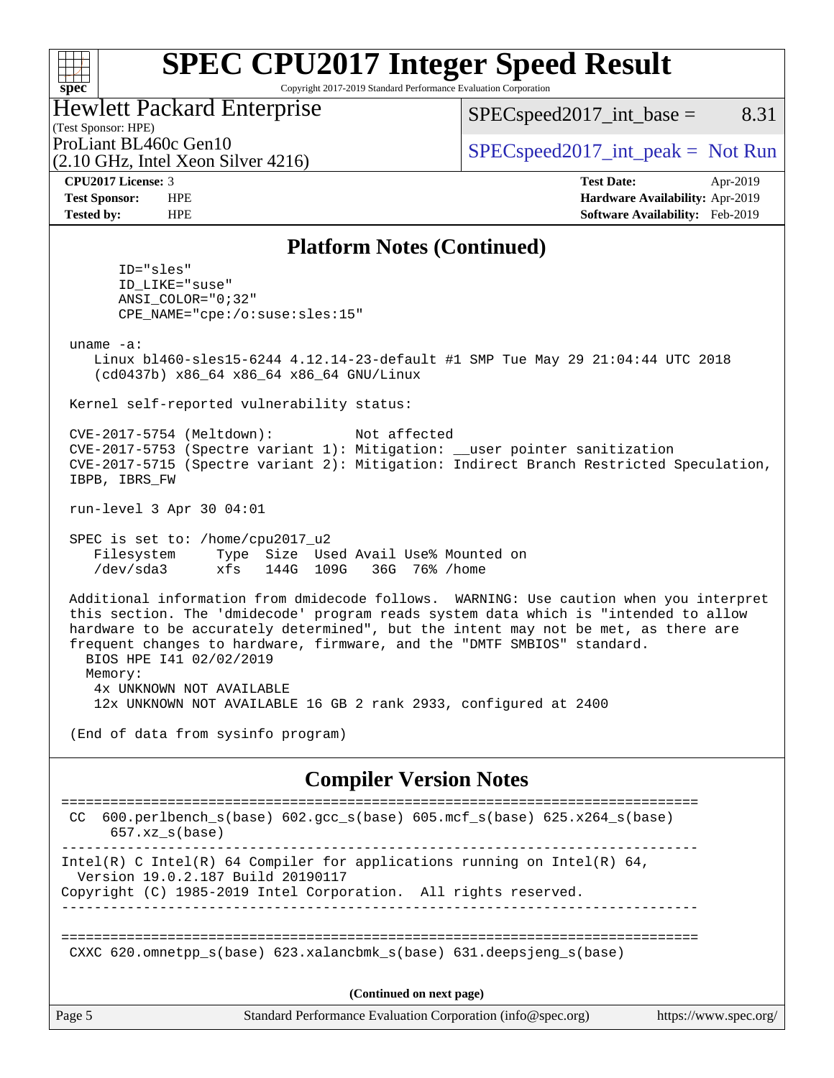#### $+\!\!+\!\!$ **[spec](http://www.spec.org/)**

# **[SPEC CPU2017 Integer Speed Result](http://www.spec.org/auto/cpu2017/Docs/result-fields.html#SPECCPU2017IntegerSpeedResult)**

Copyright 2017-2019 Standard Performance Evaluation Corporation

|  |  | <b>Hewlett Packard Enterprise</b> |
|--|--|-----------------------------------|
|  |  |                                   |

(2.10 GHz, Intel Xeon Silver 4216)

 $SPEC speed2017\_int\_base =$  8.31

(Test Sponsor: HPE)

ProLiant BL460c Gen10  $SPEC speed2017\_int\_peak = Not Run$ 

**[CPU2017 License:](http://www.spec.org/auto/cpu2017/Docs/result-fields.html#CPU2017License)** 3 **[Test Date:](http://www.spec.org/auto/cpu2017/Docs/result-fields.html#TestDate)** Apr-2019 **[Test Sponsor:](http://www.spec.org/auto/cpu2017/Docs/result-fields.html#TestSponsor)** HPE **[Hardware Availability:](http://www.spec.org/auto/cpu2017/Docs/result-fields.html#HardwareAvailability)** Apr-2019 **[Tested by:](http://www.spec.org/auto/cpu2017/Docs/result-fields.html#Testedby)** HPE **[Software Availability:](http://www.spec.org/auto/cpu2017/Docs/result-fields.html#SoftwareAvailability)** Feb-2019

### **[Platform Notes \(Continued\)](http://www.spec.org/auto/cpu2017/Docs/result-fields.html#PlatformNotes)**

 ID="sles" ID\_LIKE="suse" ANSI\_COLOR="0;32" CPE\_NAME="cpe:/o:suse:sles:15"

uname -a:

 Linux bl460-sles15-6244 4.12.14-23-default #1 SMP Tue May 29 21:04:44 UTC 2018 (cd0437b) x86\_64 x86\_64 x86\_64 GNU/Linux

Kernel self-reported vulnerability status:

 CVE-2017-5754 (Meltdown): Not affected CVE-2017-5753 (Spectre variant 1): Mitigation: \_\_user pointer sanitization CVE-2017-5715 (Spectre variant 2): Mitigation: Indirect Branch Restricted Speculation, IBPB, IBRS\_FW

run-level 3 Apr 30 04:01

 SPEC is set to: /home/cpu2017\_u2 Filesystem Type Size Used Avail Use% Mounted on /dev/sda3 xfs 144G 109G 36G 76% /home

 Additional information from dmidecode follows. WARNING: Use caution when you interpret this section. The 'dmidecode' program reads system data which is "intended to allow hardware to be accurately determined", but the intent may not be met, as there are frequent changes to hardware, firmware, and the "DMTF SMBIOS" standard. BIOS HPE I41 02/02/2019 Memory: 4x UNKNOWN NOT AVAILABLE

12x UNKNOWN NOT AVAILABLE 16 GB 2 rank 2933, configured at 2400

(End of data from sysinfo program)

#### **[Compiler Version Notes](http://www.spec.org/auto/cpu2017/Docs/result-fields.html#CompilerVersionNotes)**

| 600.perlbench $s(base)$ 602.qcc $s(base)$ 605.mcf $s(base)$ 625.x264 $s(base)$<br>CC<br>$657.xz$ s(base)                                                                         |  |  |  |  |  |
|----------------------------------------------------------------------------------------------------------------------------------------------------------------------------------|--|--|--|--|--|
| Intel(R) C Intel(R) 64 Compiler for applications running on Intel(R) 64,<br>Version 19.0.2.187 Build 20190117<br>Copyright (C) 1985-2019 Intel Corporation. All rights reserved. |  |  |  |  |  |
| CXXC 620.omnetpp $s(base)$ 623.xalancbmk $s(base)$ 631.deepsjeng $s(base)$                                                                                                       |  |  |  |  |  |
| (Continued on next page)                                                                                                                                                         |  |  |  |  |  |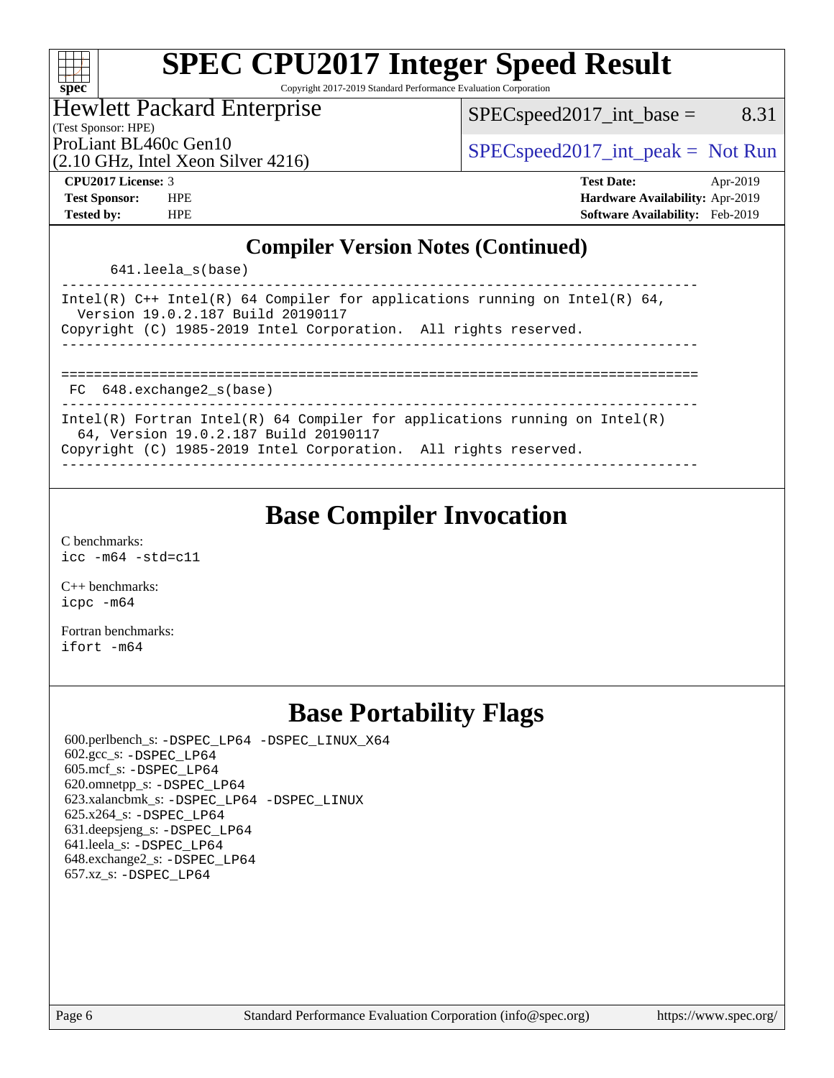#### $\pm\pm\prime$ **[spec](http://www.spec.org/)**

# **[SPEC CPU2017 Integer Speed Result](http://www.spec.org/auto/cpu2017/Docs/result-fields.html#SPECCPU2017IntegerSpeedResult)**

Copyright 2017-2019 Standard Performance Evaluation Corporation

## Hewlett Packard Enterprise

 $SPEC speed2017\_int\_base =$  8.31

(Test Sponsor: HPE)

(2.10 GHz, Intel Xeon Silver 4216)

ProLiant BL460c Gen10  $SPEC speed2017\_int\_peak = Not Run$ 

**[CPU2017 License:](http://www.spec.org/auto/cpu2017/Docs/result-fields.html#CPU2017License)** 3 **[Test Date:](http://www.spec.org/auto/cpu2017/Docs/result-fields.html#TestDate)** Apr-2019 **[Test Sponsor:](http://www.spec.org/auto/cpu2017/Docs/result-fields.html#TestSponsor)** HPE **[Hardware Availability:](http://www.spec.org/auto/cpu2017/Docs/result-fields.html#HardwareAvailability)** Apr-2019 **[Tested by:](http://www.spec.org/auto/cpu2017/Docs/result-fields.html#Testedby)** HPE **[Software Availability:](http://www.spec.org/auto/cpu2017/Docs/result-fields.html#SoftwareAvailability)** Feb-2019

### **[Compiler Version Notes \(Continued\)](http://www.spec.org/auto/cpu2017/Docs/result-fields.html#CompilerVersionNotes)**

641.leela\_s(base)

| Intel(R) $C++$ Intel(R) 64 Compiler for applications running on Intel(R) 64,<br>Version 19.0.2.187 Build 20190117<br>Copyright (C) 1985-2019 Intel Corporation. All rights reserved. |
|--------------------------------------------------------------------------------------------------------------------------------------------------------------------------------------|
|                                                                                                                                                                                      |
|                                                                                                                                                                                      |
| FC 648.exchange2 s(base)                                                                                                                                                             |
| Intel(R) Fortran Intel(R) 64 Compiler for applications running on Intel(R)                                                                                                           |
| 64, Version 19.0.2.187 Build 20190117                                                                                                                                                |
| Copyright (C) 1985-2019 Intel Corporation. All rights reserved.                                                                                                                      |

------------------------------------------------------------------------------

# **[Base Compiler Invocation](http://www.spec.org/auto/cpu2017/Docs/result-fields.html#BaseCompilerInvocation)**

[C benchmarks](http://www.spec.org/auto/cpu2017/Docs/result-fields.html#Cbenchmarks): [icc -m64 -std=c11](http://www.spec.org/cpu2017/results/res2019q2/cpu2017-20190514-14000.flags.html#user_CCbase_intel_icc_64bit_c11_33ee0cdaae7deeeab2a9725423ba97205ce30f63b9926c2519791662299b76a0318f32ddfffdc46587804de3178b4f9328c46fa7c2b0cd779d7a61945c91cd35)

[C++ benchmarks:](http://www.spec.org/auto/cpu2017/Docs/result-fields.html#CXXbenchmarks) [icpc -m64](http://www.spec.org/cpu2017/results/res2019q2/cpu2017-20190514-14000.flags.html#user_CXXbase_intel_icpc_64bit_4ecb2543ae3f1412ef961e0650ca070fec7b7afdcd6ed48761b84423119d1bf6bdf5cad15b44d48e7256388bc77273b966e5eb805aefd121eb22e9299b2ec9d9)

[Fortran benchmarks](http://www.spec.org/auto/cpu2017/Docs/result-fields.html#Fortranbenchmarks): [ifort -m64](http://www.spec.org/cpu2017/results/res2019q2/cpu2017-20190514-14000.flags.html#user_FCbase_intel_ifort_64bit_24f2bb282fbaeffd6157abe4f878425411749daecae9a33200eee2bee2fe76f3b89351d69a8130dd5949958ce389cf37ff59a95e7a40d588e8d3a57e0c3fd751)

# **[Base Portability Flags](http://www.spec.org/auto/cpu2017/Docs/result-fields.html#BasePortabilityFlags)**

 600.perlbench\_s: [-DSPEC\\_LP64](http://www.spec.org/cpu2017/results/res2019q2/cpu2017-20190514-14000.flags.html#b600.perlbench_s_basePORTABILITY_DSPEC_LP64) [-DSPEC\\_LINUX\\_X64](http://www.spec.org/cpu2017/results/res2019q2/cpu2017-20190514-14000.flags.html#b600.perlbench_s_baseCPORTABILITY_DSPEC_LINUX_X64) 602.gcc\_s: [-DSPEC\\_LP64](http://www.spec.org/cpu2017/results/res2019q2/cpu2017-20190514-14000.flags.html#suite_basePORTABILITY602_gcc_s_DSPEC_LP64) 605.mcf\_s: [-DSPEC\\_LP64](http://www.spec.org/cpu2017/results/res2019q2/cpu2017-20190514-14000.flags.html#suite_basePORTABILITY605_mcf_s_DSPEC_LP64) 620.omnetpp\_s: [-DSPEC\\_LP64](http://www.spec.org/cpu2017/results/res2019q2/cpu2017-20190514-14000.flags.html#suite_basePORTABILITY620_omnetpp_s_DSPEC_LP64) 623.xalancbmk\_s: [-DSPEC\\_LP64](http://www.spec.org/cpu2017/results/res2019q2/cpu2017-20190514-14000.flags.html#suite_basePORTABILITY623_xalancbmk_s_DSPEC_LP64) [-DSPEC\\_LINUX](http://www.spec.org/cpu2017/results/res2019q2/cpu2017-20190514-14000.flags.html#b623.xalancbmk_s_baseCXXPORTABILITY_DSPEC_LINUX) 625.x264\_s: [-DSPEC\\_LP64](http://www.spec.org/cpu2017/results/res2019q2/cpu2017-20190514-14000.flags.html#suite_basePORTABILITY625_x264_s_DSPEC_LP64) 631.deepsjeng\_s: [-DSPEC\\_LP64](http://www.spec.org/cpu2017/results/res2019q2/cpu2017-20190514-14000.flags.html#suite_basePORTABILITY631_deepsjeng_s_DSPEC_LP64) 641.leela\_s: [-DSPEC\\_LP64](http://www.spec.org/cpu2017/results/res2019q2/cpu2017-20190514-14000.flags.html#suite_basePORTABILITY641_leela_s_DSPEC_LP64) 648.exchange2\_s: [-DSPEC\\_LP64](http://www.spec.org/cpu2017/results/res2019q2/cpu2017-20190514-14000.flags.html#suite_basePORTABILITY648_exchange2_s_DSPEC_LP64) 657.xz\_s: [-DSPEC\\_LP64](http://www.spec.org/cpu2017/results/res2019q2/cpu2017-20190514-14000.flags.html#suite_basePORTABILITY657_xz_s_DSPEC_LP64)